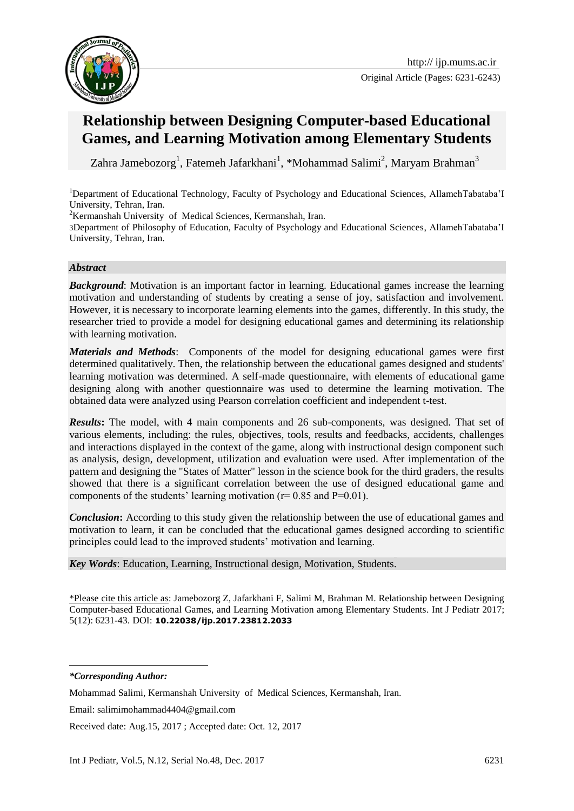

Original Article (Pages: 6231-6243)

# **Relationship between Designing Computer-based Educational Games, and Learning Motivation among Elementary Students**

Zahra Jamebozorg<sup>1</sup>, Fatemeh Jafarkhani<sup>1</sup>, \*Mohammad Salimi<sup>2</sup>, Maryam Brahman<sup>3</sup>

<sup>1</sup>Department of Educational Technology, Faculty of Psychology and Educational Sciences, AllamehTabataba'I University, Tehran, Iran.

<sup>2</sup>Kermanshah University of Medical Sciences, Kermanshah, Iran.

3Department of Philosophy of Education, Faculty of Psychology and Educational Sciences, AllamehTabataba'I University, Tehran, Iran.

#### *Abstract*

*Background*: Motivation is an important factor in learning. Educational games increase the learning motivation and understanding of students by creating a sense of joy, satisfaction and involvement. However, it is necessary to incorporate learning elements into the games, differently. In this study, the researcher tried to provide a model for designing educational games and determining its relationship with learning motivation.

*Materials and Methods*: Components of the model for designing educational games were first determined qualitatively. Then, the relationship between the educational games designed and students' learning motivation was determined. A self-made questionnaire, with elements of educational game designing along with another questionnaire was used to determine the learning motivation. The obtained data were analyzed using Pearson correlation coefficient and independent t-test.

**Results:** The model, with 4 main components and 26 sub-components, was designed. That set of various elements, including: the rules, objectives, tools, results and feedbacks, accidents, challenges and interactions displayed in the context of the game, along with instructional design component such as analysis, design, development, utilization and evaluation were used. After implementation of the pattern and designing the "States of Matter" lesson in the science book for the third graders, the results showed that there is a significant correlation between the use of designed educational game and components of the students' learning motivation ( $r= 0.85$  and  $P=0.01$ ).

*Conclusion*: According to this study given the relationship between the use of educational games and motivation to learn, it can be concluded that the educational games designed according to scientific principles could lead to the improved students' motivation and learning.

*Key Words*: Education, Learning, Instructional design, Motivation, Students.

\*Please cite this article as: Jamebozorg Z, Jafarkhani F, Salimi M, Brahman M. Relationship between Designing Computer-based Educational Games, and Learning Motivation among Elementary Students. Int J Pediatr 2017; 5(12): 6231-43. DOI: **10.22038/ijp.2017.23812.2033**

1

*<sup>\*</sup>Corresponding Author:*

Mohammad Salimi, Kermanshah University of Medical Sciences, Kermanshah, Iran.

Email: salimimohammad4404@gmail.com

Received date: Aug.15, 2017 ; Accepted date: Oct. 12, 2017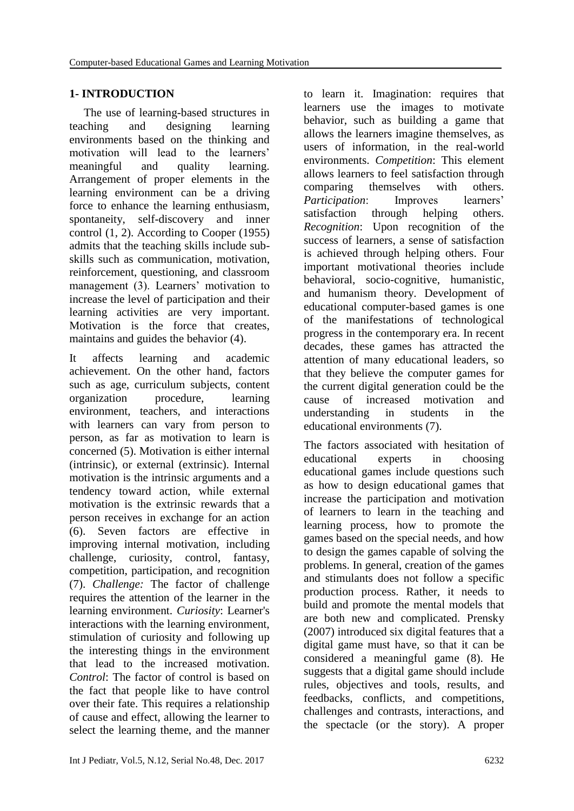### **1- INTRODUCTION**

 The use of learning-based structures in teaching and designing learning environments based on the thinking and motivation will lead to the learners' meaningful and quality learning. Arrangement of proper elements in the learning environment can be a driving force to enhance the learning enthusiasm, spontaneity, self-discovery and inner control (1, 2). According to Cooper (1955) admits that the teaching skills include subskills such as communication, motivation, reinforcement, questioning, and classroom management (3). Learners' motivation to increase the level of participation and their learning activities are very important. Motivation is the force that creates, maintains and guides the behavior (4).

It affects learning and academic achievement. On the other hand, factors such as age, curriculum subjects, content organization procedure, learning environment, teachers, and interactions with learners can vary from person to person, as far as motivation to learn is concerned (5). Motivation is either internal (intrinsic), or external (extrinsic). Internal motivation is the intrinsic arguments and a tendency toward action, while external motivation is the extrinsic rewards that a person receives in exchange for an action (6). Seven factors are effective in improving internal motivation, including challenge, curiosity, control, fantasy, competition, participation, and recognition (7). *Challenge:* The factor of challenge requires the attention of the learner in the learning environment. *Curiosity*: Learner's interactions with the learning environment, stimulation of curiosity and following up the interesting things in the environment that lead to the increased motivation. *Control*: The factor of control is based on the fact that people like to have control over their fate. This requires a relationship of cause and effect, allowing the learner to select the learning theme, and the manner to learn it. Imagination: requires that learners use the images to motivate behavior, such as building a game that allows the learners imagine themselves, as users of information, in the real-world environments. *Competition*: This element allows learners to feel satisfaction through comparing themselves with others. *Participation*: Improves learners' satisfaction through helping others. *Recognition*: Upon recognition of the success of learners, a sense of satisfaction is achieved through helping others. Four important motivational theories include behavioral, socio-cognitive, humanistic, and humanism theory. Development of educational computer-based games is one of the manifestations of technological progress in the contemporary era. In recent decades, these games has attracted the attention of many educational leaders, so that they believe the computer games for the current digital generation could be the cause of increased motivation and understanding in students in the educational environments (7).

The factors associated with hesitation of educational experts in choosing educational games include questions such as how to design educational games that increase the participation and motivation of learners to learn in the teaching and learning process, how to promote the games based on the special needs, and how to design the games capable of solving the problems. In general, creation of the games and stimulants does not follow a specific production process. Rather, it needs to build and promote the mental models that are both new and complicated. Prensky (2007) introduced six digital features that a digital game must have, so that it can be considered a meaningful game (8). He suggests that a digital game should include rules, objectives and tools, results, and feedbacks, conflicts, and competitions, challenges and contrasts, interactions, and the spectacle (or the story). A proper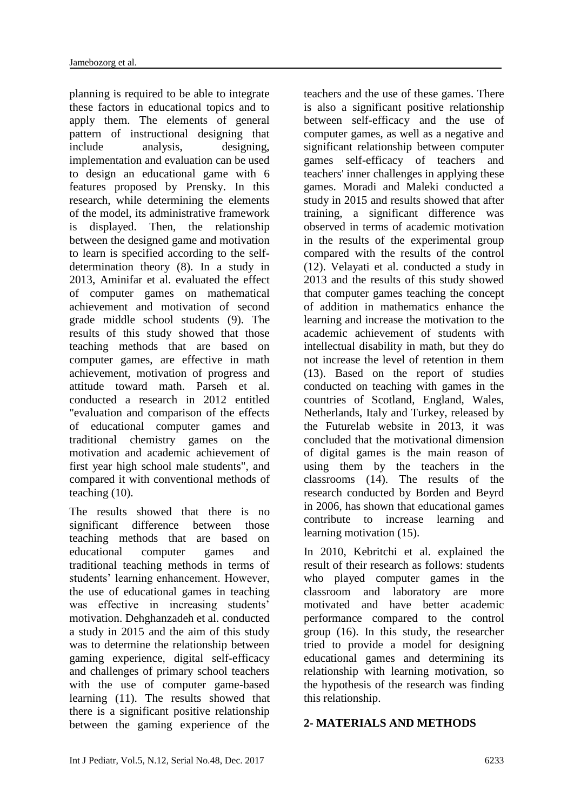planning is required to be able to integrate these factors in educational topics and to apply them. The elements of general pattern of instructional designing that include analysis, designing, implementation and evaluation can be used to design an educational game with 6 features proposed by Prensky. In this research, while determining the elements of the model, its administrative framework is displayed. Then, the relationship between the designed game and motivation to learn is specified according to the selfdetermination theory (8). In a study in 2013, Aminifar et al. evaluated the effect of computer games on mathematical achievement and motivation of second grade middle school students (9). The results of this study showed that those teaching methods that are based on computer games, are effective in math achievement, motivation of progress and attitude toward math. Parseh et al. conducted a research in 2012 entitled "evaluation and comparison of the effects of educational computer games and traditional chemistry games on the motivation and academic achievement of first year high school male students", and compared it with conventional methods of teaching (10).

The results showed that there is no significant difference between those teaching methods that are based on educational computer games and traditional teaching methods in terms of students' learning enhancement. However, the use of educational games in teaching was effective in increasing students' motivation. Dehghanzadeh et al. conducted a study in 2015 and the aim of this study was to determine the relationship between gaming experience, digital self-efficacy and challenges of primary school teachers with the use of computer game-based learning (11). The results showed that there is a significant positive relationship between the gaming experience of the teachers and the use of these games. There is also a significant positive relationship between self-efficacy and the use of computer games, as well as a negative and significant relationship between computer games self-efficacy of teachers and teachers' inner challenges in applying these games. Moradi and Maleki conducted a study in 2015 and results showed that after training, a significant difference was observed in terms of academic motivation in the results of the experimental group compared with the results of the control (12). Velayati et al. conducted a study in 2013 and the results of this study showed that computer games teaching the concept of addition in mathematics enhance the learning and increase the motivation to the academic achievement of students with intellectual disability in math, but they do not increase the level of retention in them (13). Based on the report of studies conducted on teaching with games in the countries of Scotland, England, Wales, Netherlands, Italy and Turkey, released by the Futurelab website in 2013, it was concluded that the motivational dimension of digital games is the main reason of using them by the teachers in the classrooms (14). The results of the research conducted by Borden and Beyrd in 2006, has shown that educational games contribute to increase learning and learning motivation (15).

In 2010, Kebritchi et al. explained the result of their research as follows: students who played computer games in the classroom and laboratory are more motivated and have better academic performance compared to the control group (16). In this study, the researcher tried to provide a model for designing educational games and determining its relationship with learning motivation, so the hypothesis of the research was finding this relationship.

# **2- MATERIALS AND METHODS**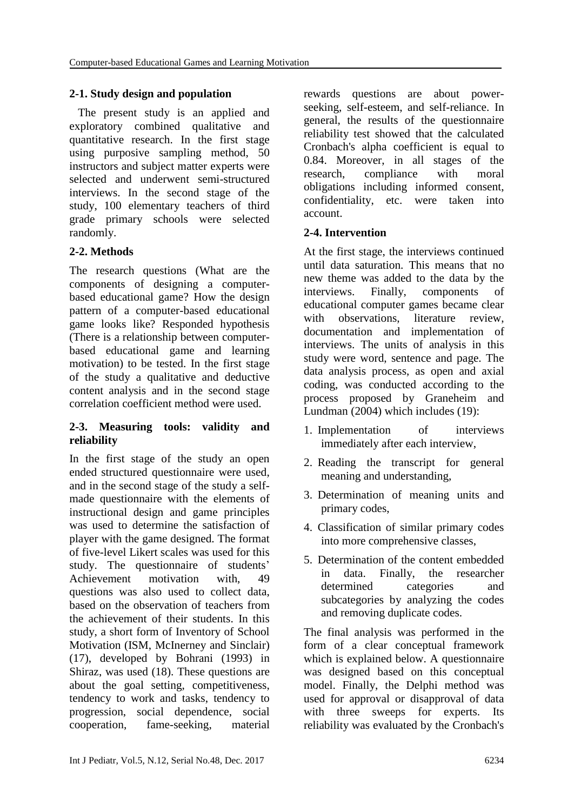### **2-1. Study design and population**

 The present study is an applied and exploratory combined qualitative and quantitative research. In the first stage using purposive sampling method, 50 instructors and subject matter experts were selected and underwent semi-structured interviews. In the second stage of the study, 100 elementary teachers of third grade primary schools were selected randomly.

# **2-2. Methods**

The research questions (What are the components of designing a computerbased educational game? How the design pattern of a computer-based educational game looks like? Responded hypothesis (There is a relationship between computerbased educational game and learning motivation) to be tested. In the first stage of the study a qualitative and deductive content analysis and in the second stage correlation coefficient method were used.

### **2-3. Measuring tools: validity and reliability**

In the first stage of the study an open ended structured questionnaire were used, and in the second stage of the study a selfmade questionnaire with the elements of instructional design and game principles was used to determine the satisfaction of player with the game designed. The format of five-level Likert scales was used for this study. The questionnaire of students' Achievement motivation with, questions was also used to collect data, based on the observation of teachers from the achievement of their students. In this study, a short form of Inventory of School Motivation (ISM, McInerney and Sinclair) (17), developed by Bohrani (1993) in Shiraz, was used (18). These questions are about the goal setting, competitiveness, tendency to work and tasks, tendency to progression, social dependence, social cooperation, fame-seeking, material

rewards questions are about powerseeking, self-esteem, and self-reliance. In general, the results of the questionnaire reliability test showed that the calculated Cronbach's alpha coefficient is equal to 0.84. Moreover, in all stages of the research, compliance with moral obligations including informed consent, confidentiality, etc. were taken into account.

### **2-4. Intervention**

At the first stage, the interviews continued until data saturation. This means that no new theme was added to the data by the interviews. Finally, components of educational computer games became clear with observations, literature review, documentation and implementation of interviews. The units of analysis in this study were word, sentence and page. The data analysis process, as open and axial coding, was conducted according to the process proposed by Graneheim and Lundman (2004) which includes (19):

- 1. Implementation of interviews immediately after each interview,
- 2. Reading the transcript for general meaning and understanding,
- 3. Determination of meaning units and primary codes,
- 4. Classification of similar primary codes into more comprehensive classes,
- 5. Determination of the content embedded in data. Finally, the researcher determined categories and subcategories by analyzing the codes and removing duplicate codes.

The final analysis was performed in the form of a clear conceptual framework which is explained below. A questionnaire was designed based on this conceptual model. Finally, the Delphi method was used for approval or disapproval of data with three sweeps for experts. Its reliability was evaluated by the Cronbach's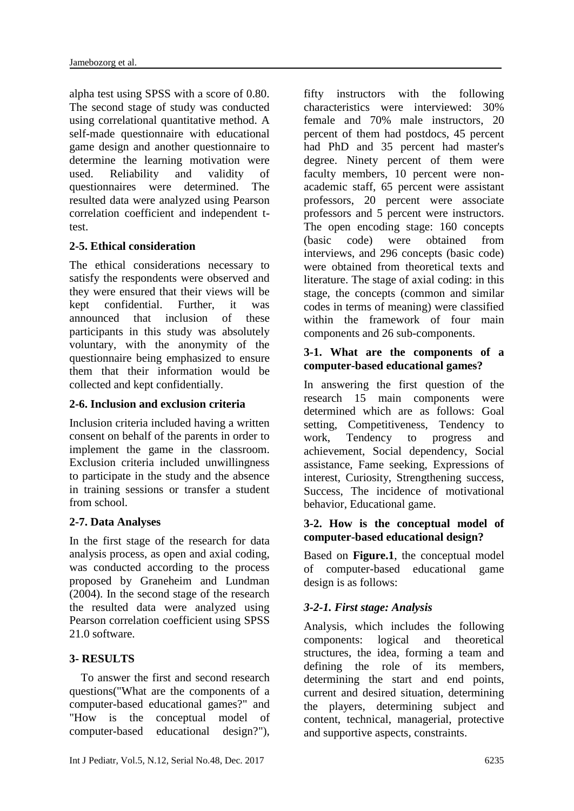alpha test using SPSS with a score of 0.80. The second stage of study was conducted using correlational quantitative method. A self-made questionnaire with educational game design and another questionnaire to determine the learning motivation were used. Reliability and validity of questionnaires were determined. The resulted data were analyzed using Pearson correlation coefficient and independent ttest.

### **2-5. Ethical consideration**

The ethical considerations necessary to satisfy the respondents were observed and they were ensured that their views will be kept confidential. Further, it was announced that inclusion of these participants in this study was absolutely voluntary, with the anonymity of the questionnaire being emphasized to ensure them that their information would be collected and kept confidentially.

#### **2-6. Inclusion and exclusion criteria**

Inclusion criteria included having a written consent on behalf of the parents in order to implement the game in the classroom. Exclusion criteria included unwillingness to participate in the study and the absence in training sessions or transfer a student from school.

### **2-7. Data Analyses**

In the first stage of the research for data analysis process, as open and axial coding, was conducted according to the process proposed by Graneheim and Lundman (2004). In the second stage of the research the resulted data were analyzed using Pearson correlation coefficient using SPSS 21.0 software.

### **3- RESULTS**

 To answer the first and second research questions("What are the components of a computer-based educational games?" and "How is the conceptual model of computer-based educational design?"),

Int J Pediatr, Vol.5, N.12, Serial No.48, Dec. 2017 6235

fifty instructors with the following characteristics were interviewed: 30% female and 70% male instructors, 20 percent of them had postdocs, 45 percent had PhD and 35 percent had master's degree. Ninety percent of them were faculty members, 10 percent were nonacademic staff, 65 percent were assistant professors, 20 percent were associate professors and 5 percent were instructors. The open encoding stage: 160 concepts (basic code) were obtained from interviews, and 296 concepts (basic code) were obtained from theoretical texts and literature. The stage of axial coding: in this stage, the concepts (common and similar codes in terms of meaning) were classified within the framework of four main components and 26 sub-components.

#### **3-1. What are the components of a computer-based educational games?**

In answering the first question of the research 15 main components were determined which are as follows: Goal setting, Competitiveness, Tendency to work, Tendency to progress and achievement, Social dependency, Social assistance, Fame seeking, Expressions of interest, Curiosity, Strengthening success, Success, The incidence of motivational behavior, Educational game.

#### **3-2. How is the conceptual model of computer-based educational design?**

Based on **Figure.1**, the conceptual model of computer-based educational game design is as follows:

### *3-2-1. First stage: Analysis*

Analysis, which includes the following components: logical and theoretical structures, the idea, forming a team and defining the role of its members, determining the start and end points, current and desired situation, determining the players, determining subject and content, technical, managerial, protective and supportive aspects, constraints.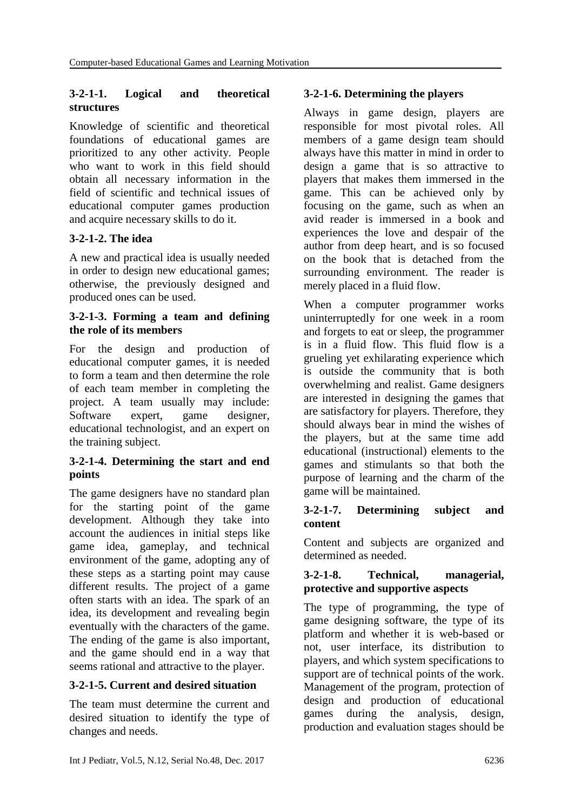### **3-2-1-1. Logical and theoretical structures**

Knowledge of scientific and theoretical foundations of educational games are prioritized to any other activity. People who want to work in this field should obtain all necessary information in the field of scientific and technical issues of educational computer games production and acquire necessary skills to do it.

# **3-2-1-2. The idea**

A new and practical idea is usually needed in order to design new educational games; otherwise, the previously designed and produced ones can be used.

### **3-2-1-3. Forming a team and defining the role of its members**

For the design and production of educational computer games, it is needed to form a team and then determine the role of each team member in completing the project. A team usually may include: Software expert, game designer, educational technologist, and an expert on the training subject.

### **3-2-1-4. Determining the start and end points**

The game designers have no standard plan for the starting point of the game development. Although they take into account the audiences in initial steps like game idea, gameplay, and technical environment of the game, adopting any of these steps as a starting point may cause different results. The project of a game often starts with an idea. The spark of an idea, its development and revealing begin eventually with the characters of the game. The ending of the game is also important, and the game should end in a way that seems rational and attractive to the player.

# **3-2-1-5. Current and desired situation**

The team must determine the current and desired situation to identify the type of changes and needs.

### **3-2-1-6. Determining the players**

Always in game design, players are responsible for most pivotal roles. All members of a game design team should always have this matter in mind in order to design a game that is so attractive to players that makes them immersed in the game. This can be achieved only by focusing on the game, such as when an avid reader is immersed in a book and experiences the love and despair of the author from deep heart, and is so focused on the book that is detached from the surrounding environment. The reader is merely placed in a fluid flow.

When a computer programmer works uninterruptedly for one week in a room and forgets to eat or sleep, the programmer is in a fluid flow. This fluid flow is a grueling yet exhilarating experience which is outside the community that is both overwhelming and realist. Game designers are interested in designing the games that are satisfactory for players. Therefore, they should always bear in mind the wishes of the players, but at the same time add educational (instructional) elements to the games and stimulants so that both the purpose of learning and the charm of the game will be maintained.

### **3-2-1-7. Determining subject and content**

Content and subjects are organized and determined as needed.

### **3-2-1-8. Technical, managerial, protective and supportive aspects**

The type of programming, the type of game designing software, the type of its platform and whether it is web-based or not, user interface, its distribution to players, and which system specifications to support are of technical points of the work. Management of the program, protection of design and production of educational games during the analysis, design, production and evaluation stages should be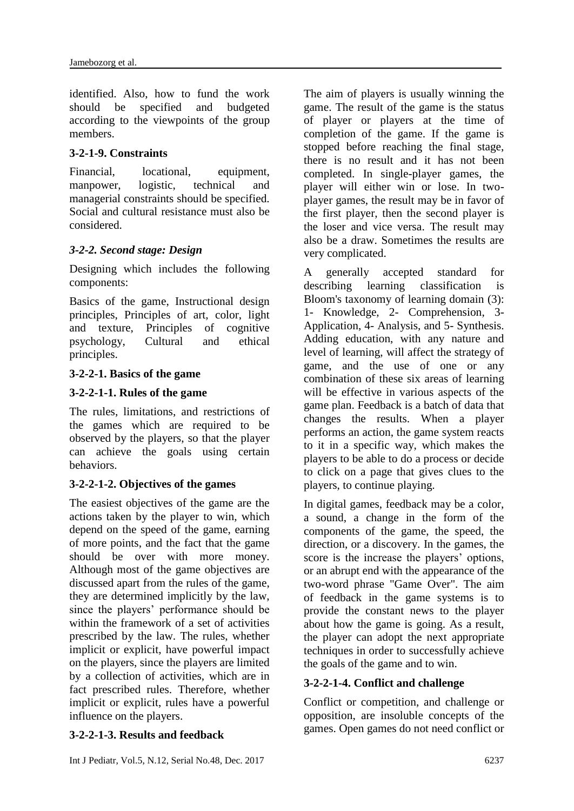identified. Also, how to fund the work should be specified and budgeted according to the viewpoints of the group members.

### **3-2-1-9. Constraints**

Financial, locational, equipment, manpower, logistic, technical and managerial constraints should be specified. Social and cultural resistance must also be considered.

# *3-2-2. Second stage: Design*

Designing which includes the following components:

Basics of the game, Instructional design principles, Principles of art, color, light and texture, Principles of cognitive psychology, Cultural and ethical principles.

### **3-2-2-1. Basics of the game**

### **3-2-2-1-1. Rules of the game**

The rules, limitations, and restrictions of the games which are required to be observed by the players, so that the player can achieve the goals using certain behaviors.

### **3-2-2-1-2. Objectives of the games**

The easiest objectives of the game are the actions taken by the player to win, which depend on the speed of the game, earning of more points, and the fact that the game should be over with more money. Although most of the game objectives are discussed apart from the rules of the game, they are determined implicitly by the law, since the players' performance should be within the framework of a set of activities prescribed by the law. The rules, whether implicit or explicit, have powerful impact on the players, since the players are limited by a collection of activities, which are in fact prescribed rules. Therefore, whether implicit or explicit, rules have a powerful influence on the players.

# **3-2-2-1-3. Results and feedback**

The aim of players is usually winning the game. The result of the game is the status of player or players at the time of completion of the game. If the game is stopped before reaching the final stage, there is no result and it has not been completed. In single-player games, the player will either win or lose. In twoplayer games, the result may be in favor of the first player, then the second player is the loser and vice versa. The result may also be a draw. Sometimes the results are very complicated.

A generally accepted standard for describing learning classification is Bloom's taxonomy of learning domain (3): 1- Knowledge, 2- Comprehension, 3- Application, 4- Analysis, and 5- Synthesis. Adding education, with any nature and level of learning, will affect the strategy of game, and the use of one or any combination of these six areas of learning will be effective in various aspects of the game plan. Feedback is a batch of data that changes the results. When a player performs an action, the game system reacts to it in a specific way, which makes the players to be able to do a process or decide to click on a page that gives clues to the players, to continue playing.

In digital games, feedback may be a color, a sound, a change in the form of the components of the game, the speed, the direction, or a discovery. In the games, the score is the increase the players' options, or an abrupt end with the appearance of the two-word phrase "Game Over". The aim of feedback in the game systems is to provide the constant news to the player about how the game is going. As a result, the player can adopt the next appropriate techniques in order to successfully achieve the goals of the game and to win.

# **3-2-2-1-4. Conflict and challenge**

Conflict or competition, and challenge or opposition, are insoluble concepts of the games. Open games do not need conflict or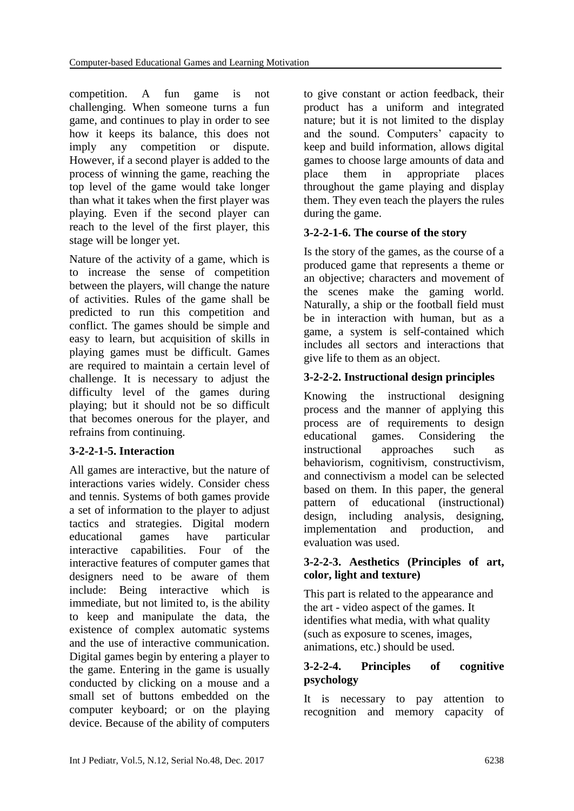competition. A fun game is not challenging. When someone turns a fun game, and continues to play in order to see how it keeps its balance, this does not imply any competition or dispute. However, if a second player is added to the process of winning the game, reaching the top level of the game would take longer than what it takes when the first player was playing. Even if the second player can reach to the level of the first player, this stage will be longer yet.

Nature of the activity of a game, which is to increase the sense of competition between the players, will change the nature of activities. Rules of the game shall be predicted to run this competition and conflict. The games should be simple and easy to learn, but acquisition of skills in playing games must be difficult. Games are required to maintain a certain level of challenge. It is necessary to adjust the difficulty level of the games during playing; but it should not be so difficult that becomes onerous for the player, and refrains from continuing.

# **3-2-2-1-5. Interaction**

All games are interactive, but the nature of interactions varies widely. Consider chess and tennis. Systems of both games provide a set of information to the player to adjust tactics and strategies. Digital modern educational games have particular interactive capabilities. Four of the interactive features of computer games that designers need to be aware of them include: Being interactive which is immediate, but not limited to, is the ability to keep and manipulate the data, the existence of complex automatic systems and the use of interactive communication. Digital games begin by entering a player to the game. Entering in the game is usually conducted by clicking on a mouse and a small set of buttons embedded on the computer keyboard; or on the playing device. Because of the ability of computers to give constant or action feedback, their product has a uniform and integrated nature; but it is not limited to the display and the sound. Computers' capacity to keep and build information, allows digital games to choose large amounts of data and place them in appropriate places throughout the game playing and display them. They even teach the players the rules during the game.

# **3-2-2-1-6. The course of the story**

Is the story of the games, as the course of a produced game that represents a theme or an objective; characters and movement of the scenes make the gaming world. Naturally, a ship or the football field must be in interaction with human, but as a game, a system is self-contained which includes all sectors and interactions that give life to them as an object.

# **3-2-2-2. Instructional design principles**

Knowing the instructional designing process and the manner of applying this process are of requirements to design educational games. Considering the instructional approaches such as behaviorism, cognitivism, constructivism, and connectivism a model can be selected based on them. In this paper, the general pattern of educational (instructional) design, including analysis, designing, implementation and production, and evaluation was used.

### **3-2-2-3. Aesthetics (Principles of art, color, light and texture)**

This part is related to the appearance and the art - video aspect of the games. It identifies what media, with what quality (such as exposure to scenes, images, animations, etc.) should be used.

# **3-2-2-4. Principles of cognitive psychology**

It is necessary to pay attention to recognition and memory capacity of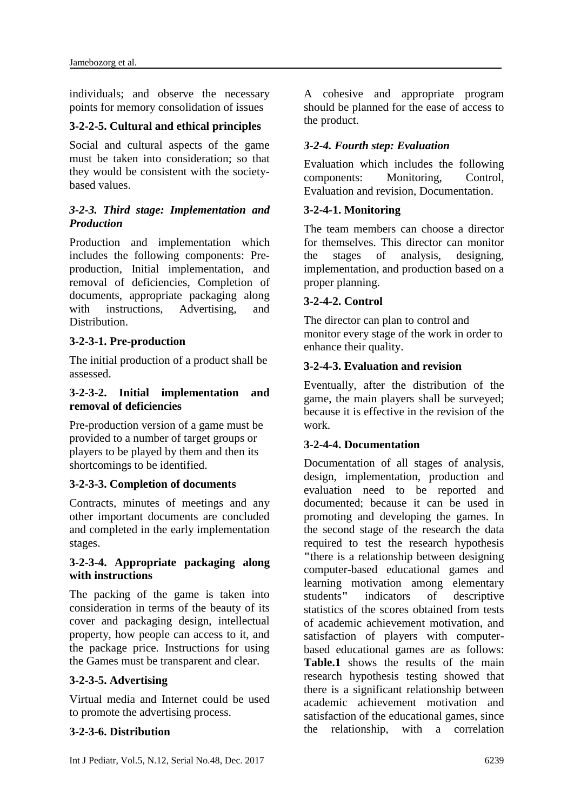individuals; and observe the necessary points for memory consolidation of issues

### **3-2-2-5. Cultural and ethical principles**

Social and cultural aspects of the game must be taken into consideration; so that they would be consistent with the societybased values.

### *3-2-3. Third stage: Implementation and Production*

Production and implementation which includes the following components: Preproduction, Initial implementation, and removal of deficiencies, Completion of documents, appropriate packaging along with instructions, Advertising, and Distribution.

### **3-2-3-1. Pre-production**

The initial production of a product shall be assessed.

### **3-2-3-2. Initial implementation and removal of deficiencies**

Pre-production version of a game must be provided to a number of target groups or players to be played by them and then its shortcomings to be identified.

### **3-2-3-3. Completion of documents**

Contracts, minutes of meetings and any other important documents are concluded and completed in the early implementation stages.

#### **3-2-3-4. Appropriate packaging along with instructions**

The packing of the game is taken into consideration in terms of the beauty of its cover and packaging design, intellectual property, how people can access to it, and the package price. Instructions for using the Games must be transparent and clear.

### **3-2-3-5. Advertising**

Virtual media and Internet could be used to promote the advertising process.

### **3-2-3-6. Distribution**

A cohesive and appropriate program should be planned for the ease of access to the product.

# *3-2-4. Fourth step: Evaluation*

Evaluation which includes the following components: Monitoring, Control, Evaluation and revision, Documentation.

### **3-2-4-1. Monitoring**

The team members can choose a director for themselves. This director can monitor the stages of analysis, designing, implementation, and production based on a proper planning.

#### **3-2-4-2. Control**

The director can plan to control and monitor every stage of the work in order to enhance their quality.

#### **3-2-4-3. Evaluation and revision**

Eventually, after the distribution of the game, the main players shall be surveyed; because it is effective in the revision of the work.

### **3-2-4-4. Documentation**

Documentation of all stages of analysis, design, implementation, production and evaluation need to be reported and documented; because it can be used in promoting and developing the games. In the second stage of the research the data required to test the research hypothesis **"**there is a relationship between designing computer-based educational games and learning motivation among elementary students**"** indicators of descriptive statistics of the scores obtained from tests of academic achievement motivation, and satisfaction of players with computerbased educational games are as follows: **Table.1** shows the results of the main research hypothesis testing showed that there is a significant relationship between academic achievement motivation and satisfaction of the educational games, since the relationship, with a correlation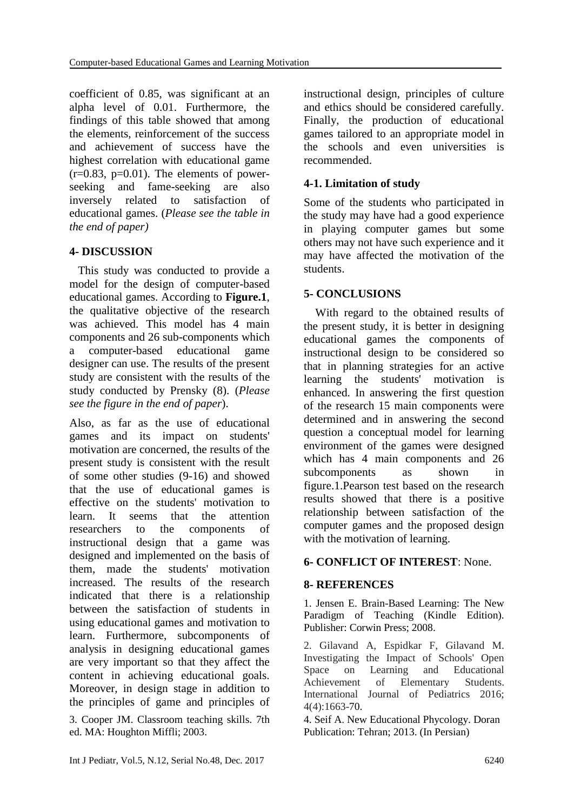coefficient of 0.85, was significant at an alpha level of 0.01. Furthermore, the findings of this table showed that among the elements, reinforcement of the success and achievement of success have the highest correlation with educational game  $(r=0.83, p=0.01)$ . The elements of powerseeking and fame-seeking are also inversely related to satisfaction of educational games. (*Please see the table in the end of paper)*

# **4- DISCUSSION**

 This study was conducted to provide a model for the design of computer-based educational games. According to **Figure.1**, the qualitative objective of the research was achieved. This model has 4 main components and 26 sub-components which a computer-based educational game designer can use. The results of the present study are consistent with the results of the study conducted by Prensky (8). (*Please see the figure in the end of paper*).

Also, as far as the use of educational games and its impact on students' motivation are concerned, the results of the present study is consistent with the result of some other studies (9-16) and showed that the use of educational games is effective on the students' motivation to learn. It seems that the attention researchers to the components of instructional design that a game was designed and implemented on the basis of them, made the students' motivation increased. The results of the research indicated that there is a relationship between the satisfaction of students in using educational games and motivation to learn. Furthermore, subcomponents of analysis in designing educational games are very important so that they affect the content in achieving educational goals. Moreover, in design stage in addition to the principles of game and principles of

3. Cooper JM. Classroom teaching skills. 7th ed. MA: Houghton Miffli; 2003.

instructional design, principles of culture and ethics should be considered carefully. Finally, the production of educational games tailored to an appropriate model in the schools and even universities is recommended.

### **4-1. Limitation of study**

Some of the students who participated in the study may have had a good experience in playing computer games but some others may not have such experience and it may have affected the motivation of the students.

# **5- CONCLUSIONS**

 With regard to the obtained results of the present study, it is better in designing educational games the components of instructional design to be considered so that in planning strategies for an active learning the students' motivation is enhanced. In answering the first question of the research 15 main components were determined and in answering the second question a conceptual model for learning environment of the games were designed which has 4 main components and 26 subcomponents as shown in figure.1.Pearson test based on the research results showed that there is a positive relationship between satisfaction of the computer games and the proposed design with the motivation of learning.

### **6- CONFLICT OF INTEREST**: None.

### **8- REFERENCES**

1. Jensen E. Brain-Based Learning: The New Paradigm of Teaching (Kindle Edition). Publisher: Corwin Press; 2008.

2. Gilavand A, Espidkar F, Gilavand M. Investigating the Impact of Schools' Open Space on Learning and Educational Achievement of Elementary Students. International Journal of Pediatrics 2016; 4(4):1663-70.

4. Seif A. New Educational Phycology. Doran Publication: Tehran; 2013. (In Persian)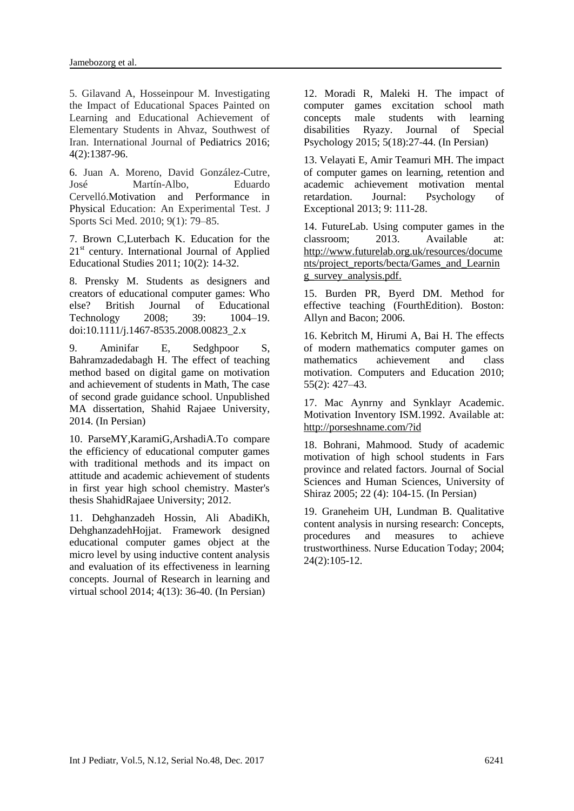5. Gilavand A, Hosseinpour M. Investigating the Impact of Educational Spaces Painted on Learning and Educational Achievement of Elementary Students in Ahvaz, Southwest of Iran. International Journal of Pediatrics 2016; 4(2):1387-96.

6. [Juan A. Moreno,](https://www.ncbi.nlm.nih.gov/pubmed/?term=Moreno%20JA%5BAuthor%5D&cauthor=true&cauthor_uid=24149389) [David González-Cutre,](https://www.ncbi.nlm.nih.gov/pubmed/?term=Gonz%26%23x000e1%3Blez-Cutre%20D%5BAuthor%5D&cauthor=true&cauthor_uid=24149389) [José Martín-Albo,](https://www.ncbi.nlm.nih.gov/pubmed/?term=Mart%26%23x000ed%3Bn-Albo%20J%5BAuthor%5D&cauthor=true&cauthor_uid=24149389) [Eduardo](https://www.ncbi.nlm.nih.gov/pubmed/?term=Cervell%26%23x000f3%3B%20E%5BAuthor%5D&cauthor=true&cauthor_uid=24149389)  [Cervelló.](https://www.ncbi.nlm.nih.gov/pubmed/?term=Cervell%26%23x000f3%3B%20E%5BAuthor%5D&cauthor=true&cauthor_uid=24149389)Motivation and Performance in Physical Education: An Experimental Test. [J](https://www.ncbi.nlm.nih.gov/pmc/articles/PMC3737955/)  [Sports Sci Med.](https://www.ncbi.nlm.nih.gov/pmc/articles/PMC3737955/) 2010; 9(1): 79–85.

7. Brown C,Luterbach K. Education for the  $21<sup>st</sup>$  century. International Journal of Applied Educational Studies 2011; 10(2): 14-32.

8. Prensky M. Students as designers and creators of educational computer games: Who else? British Journal of Educational Technology 2008; 39: 1004–19. doi:10.1111/j.1467-8535.2008.00823\_2.x

9. Aminifar E, Sedghpoor S, Bahramzadedabagh H. The effect of teaching method based on digital game on motivation and achievement of students in Math, The case of second grade guidance school. Unpublished MA dissertation, Shahid Rajaee University, 2014. (In Persian)

10. ParseMY,KaramiG,ArshadiA.To compare the efficiency of educational computer games with traditional methods and its impact on attitude and academic achievement of students in first year high school chemistry. Master's thesis ShahidRajaee University; 2012.

11. Dehghanzadeh Hossin, Ali AbadiKh, DehghanzadehHojjat. Framework designed educational computer games object at the micro level by using inductive content analysis and evaluation of its effectiveness in learning concepts. Journal of Research in learning and virtual school 2014; 4(13): 36-40. (In Persian)

12. Moradi R, Maleki H. The impact of computer games excitation school math concepts male students with learning disabilities Ryazy. Journal of Special Psychology 2015; 5(18):27-44. (In Persian)

13. Velayati E, Amir Teamuri MH. The impact of computer games on learning, retention and academic achievement motivation mental retardation. Journal: Psychology of Exceptional 2013; 9: 111-28.

14. FutureLab. Using computer games in the classroom; 2013. Available at: http://www.futurelab.org.uk/resources/docume nts/project\_reports/becta/Games\_and\_Learnin g\_survey\_analysis.pdf.

15. Burden PR, Byerd DM. Method for effective teaching (FourthEdition). Boston: Allyn and Bacon; 2006.

16. Kebritch M, Hirumi A, Bai H. The effects of modern mathematics computer games on mathematics achievement and class motivation. Computers and Education 2010; 55(2): 427–43.

17. Mac Aynrny and Synklayr Academic. Motivation Inventory ISM.1992. Available at: http://porseshname.com/?id

18. Bohrani, Mahmood. Study of academic motivation of high school students in Fars province and related factors. Journal of Social Sciences and Human Sciences, University of Shiraz 2005; 22 (4): 104-15. (In Persian)

19. Graneheim UH, Lundman B. Qualitative content analysis in nursing research: Concepts, procedures and measures to achieve trustworthiness. Nurse Education Today; 2004; 24(2):105-12.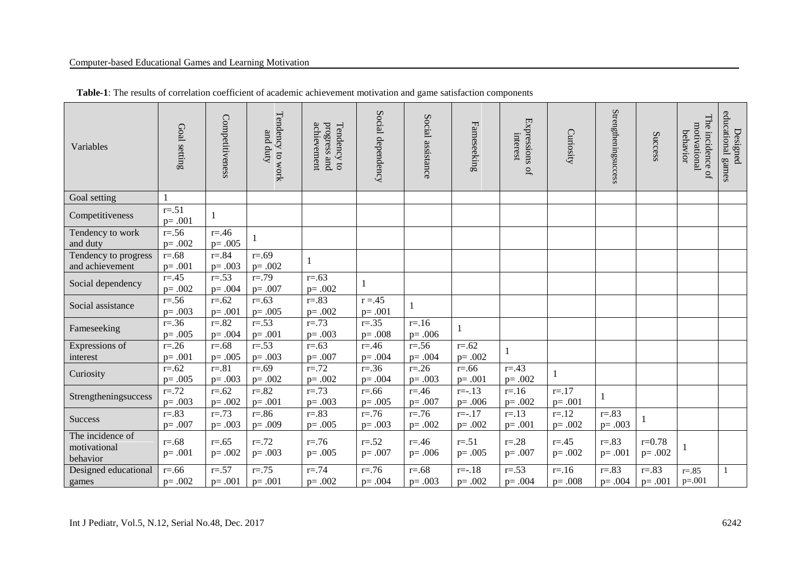#### Computer-based Educational Games and Learning Motivation

| Variables                                    | Goal setting             | Competitiveness          | Tendency to work<br>and duty | progress and<br>Tendency to<br>achievement | Social dependency        | Social assistance        | Fameseeking             | Expressions<br>interest<br>ď | Curiosity               | Strengtheningsuccess    | Success                  | The incidence of<br>motivational<br>behavior | educational games<br>Designed |
|----------------------------------------------|--------------------------|--------------------------|------------------------------|--------------------------------------------|--------------------------|--------------------------|-------------------------|------------------------------|-------------------------|-------------------------|--------------------------|----------------------------------------------|-------------------------------|
| Goal setting                                 |                          |                          |                              |                                            |                          |                          |                         |                              |                         |                         |                          |                                              |                               |
| Competitiveness                              | $r = .51$<br>$p = .001$  |                          |                              |                                            |                          |                          |                         |                              |                         |                         |                          |                                              |                               |
| Tendency to work<br>and duty                 | $r = 0.56$<br>$p = .002$ | $r = 0.46$<br>$p = .005$ |                              |                                            |                          |                          |                         |                              |                         |                         |                          |                                              |                               |
| Tendency to progress<br>and achievement      | $r = .68$<br>$p = .001$  | $r = .84$<br>$p = .003$  | $r = .69$<br>$p = .002$      |                                            |                          |                          |                         |                              |                         |                         |                          |                                              |                               |
| Social dependency                            | $r = .45$<br>$p = .002$  | $r = .53$<br>$p = .004$  | $r = .79$<br>$p = .007$      | $r = .63$<br>$p = .002$                    |                          |                          |                         |                              |                         |                         |                          |                                              |                               |
| Social assistance                            | $r = .56$<br>$p = .003$  | $r = .62$<br>$p = .001$  | $r = .63$<br>$p = .005$      | $r = .83$<br>$p = .002$                    | $r = 0.45$<br>$p = .001$ |                          |                         |                              |                         |                         |                          |                                              |                               |
| Fameseeking                                  | $r = .36$<br>$p = .005$  | $r = 0.82$<br>$p = .004$ | $r = .53$<br>$p = .001$      | $r = .73$<br>$p = .003$                    | $r = .35$<br>$p = .008$  | $r = 16$<br>$p = .006$   |                         |                              |                         |                         |                          |                                              |                               |
| Expressions of<br>interest                   | $r = 0.26$<br>$p = .001$ | $r = .68$<br>$p = .005$  | $r = .53$<br>$p = .003$      | $r = .63$<br>$p = .007$                    | $r = 0.46$<br>$p = .004$ | $r = .56$<br>$p = .004$  | $r = .62$<br>$p = .002$ | $\mathbf{1}$                 |                         |                         |                          |                                              |                               |
| Curiosity                                    | $r = .62$<br>$p = .005$  | $r = 81$<br>$p = .003$   | $r = .69$<br>$p = .002$      | $r = 72$<br>$p = .002$                     | $r = .36$<br>$p = .004$  | $r = 0.26$<br>$p = .003$ | $r = .66$<br>$p = .001$ | $r = .43$<br>$p = .002$      |                         |                         |                          |                                              |                               |
| Strengtheningsuccess                         | $r = .72$<br>$p = .003$  | $r = .62$<br>$p = .002$  | $r=.82$<br>$p = .001$        | $r = .73$<br>$p = .003$                    | $r = .66$<br>$p = .005$  | $r = .46$<br>$p = .007$  | $r=-.13$<br>$p = .006$  | $r=16$<br>$p = .002$         | $r = .17$<br>$p = .001$ | $\mathbf{1}$            |                          |                                              |                               |
| <b>Success</b>                               | $r = .83$<br>$p = .007$  | $r = .73$<br>$p = .003$  | $r = 0.86$<br>$p = .009$     | $r = .83$<br>$p = .005$                    | $r = 76$<br>$p = .003$   | $r = 76$<br>$p = .002$   | $r = -17$<br>$p = .002$ | $r = .13$<br>$p = .001$      | $r = 12$<br>$p = .002$  | $r = 83$<br>$p = .003$  | 1                        |                                              |                               |
| The incidence of<br>motivational<br>behavior | $r = .68$<br>$p = .001$  | $r = .65$<br>$p = .002$  | $r = 72$<br>$p = .003$       | $r = 76$<br>$p = .005$                     | $r = .52$<br>$p = .007$  | $r = 0.46$<br>$p = .006$ | $r = .51$<br>$p = .005$ | $r = .28$<br>$p = .007$      | $r = .45$<br>$p = .002$ | $r = .83$<br>$p = .001$ | $r = 0.78$<br>$p = .002$ |                                              |                               |
| Designed educational<br>games                | $r = .66$<br>$p = .002$  | $r = .57$<br>$p = .001$  | $r = .75$<br>$p = .001$      | $r = 74$<br>$p = .002$                     | $r = 0.76$<br>$p = .004$ | $r = .68$<br>$p = .003$  | $r = -18$<br>$p = .002$ | $r = .53$<br>$p = .004$      | $r = 16$<br>$p = .008$  | $r = 83$<br>$p = .004$  | $r = .83$<br>$p = .001$  | $r = 85$<br>$p=.001$                         | $\mathbf{1}$                  |

 **Table-1**: The results of correlation coefficient of academic achievement motivation and game satisfaction components